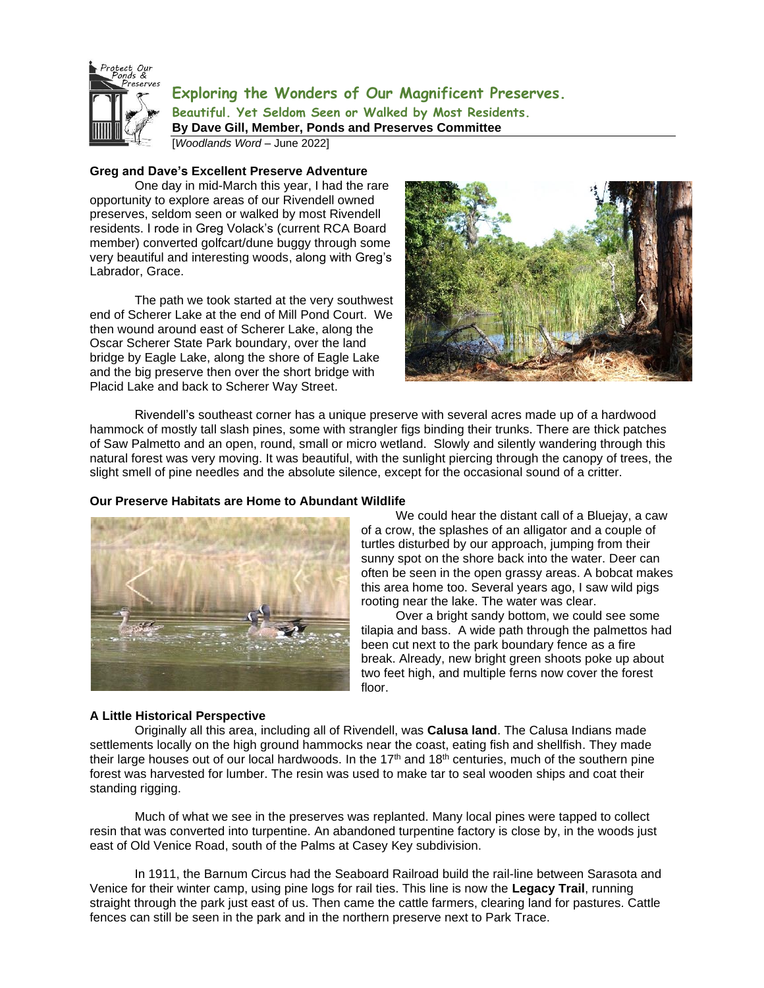

**Exploring the Wonders of Our Magnificent Preserves. Beautiful. Yet Seldom Seen or Walked by Most Residents. By Dave Gill, Member, Ponds and Preserves Committee**

[*Woodlands Word* – June 2022]

# **Greg and Dave's Excellent Preserve Adventure**

One day in mid-March this year, I had the rare opportunity to explore areas of our Rivendell owned preserves, seldom seen or walked by most Rivendell residents. I rode in Greg Volack's (current RCA Board member) converted golfcart/dune buggy through some very beautiful and interesting woods, along with Greg's Labrador, Grace.

The path we took started at the very southwest end of Scherer Lake at the end of Mill Pond Court. We then wound around east of Scherer Lake, along the Oscar Scherer State Park boundary, over the land bridge by Eagle Lake, along the shore of Eagle Lake and the big preserve then over the short bridge with Placid Lake and back to Scherer Way Street.



Rivendell's southeast corner has a unique preserve with several acres made up of a hardwood hammock of mostly tall slash pines, some with strangler figs binding their trunks. There are thick patches of Saw Palmetto and an open, round, small or micro wetland. Slowly and silently wandering through this natural forest was very moving. It was beautiful, with the sunlight piercing through the canopy of trees, the slight smell of pine needles and the absolute silence, except for the occasional sound of a critter.

## **Our Preserve Habitats are Home to Abundant Wildlife**



 We could hear the distant call of a Bluejay, a caw of a crow, the splashes of an alligator and a couple of turtles disturbed by our approach, jumping from their sunny spot on the shore back into the water. Deer can often be seen in the open grassy areas. A bobcat makes this area home too. Several years ago, I saw wild pigs rooting near the lake. The water was clear.

 Over a bright sandy bottom, we could see some tilapia and bass. A wide path through the palmettos had been cut next to the park boundary fence as a fire break. Already, new bright green shoots poke up about two feet high, and multiple ferns now cover the forest floor.

## **A Little Historical Perspective**

Originally all this area, including all of Rivendell, was **Calusa land**. The Calusa Indians made settlements locally on the high ground hammocks near the coast, eating fish and shellfish. They made their large houses out of our local hardwoods. In the  $17<sup>th</sup>$  and  $18<sup>th</sup>$  centuries, much of the southern pine forest was harvested for lumber. The resin was used to make tar to seal wooden ships and coat their standing rigging.

Much of what we see in the preserves was replanted. Many local pines were tapped to collect resin that was converted into turpentine. An abandoned turpentine factory is close by, in the woods just east of Old Venice Road, south of the Palms at Casey Key subdivision.

In 1911, the Barnum Circus had the Seaboard Railroad build the rail-line between Sarasota and Venice for their winter camp, using pine logs for rail ties. This line is now the **Legacy Trail**, running straight through the park just east of us. Then came the cattle farmers, clearing land for pastures. Cattle fences can still be seen in the park and in the northern preserve next to Park Trace.